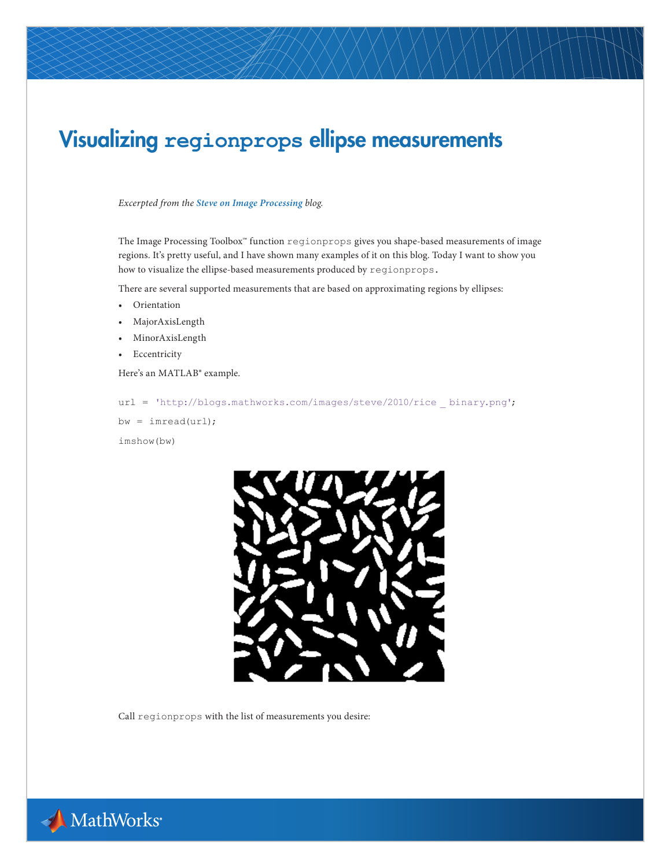## Visualizing **regionprops** ellipse measurements

## *Excerpted from the [Steve on Image Processing](http://blogs.mathworks.com/steve/) blog.*

The Image Processing Toolbox™ function regionprops gives you shape-based measurements of image regions. It's pretty useful, and I have shown many examples of it on this blog. Today I want to show you how to visualize the ellipse-based measurements produced by regionprops.

There are several supported measurements that are based on approximating regions by ellipses:

- Orientation
- MajorAxisLength
- MinorAxisLength
- Eccentricity

Here's an MATLAB® example.

```
url = 'http://blogs.mathworks.com/images/steve/2010/rice _ binary.png';
```
bw = imread(url); imshow(bw)



Call regionprops with the list of measurements you desire:

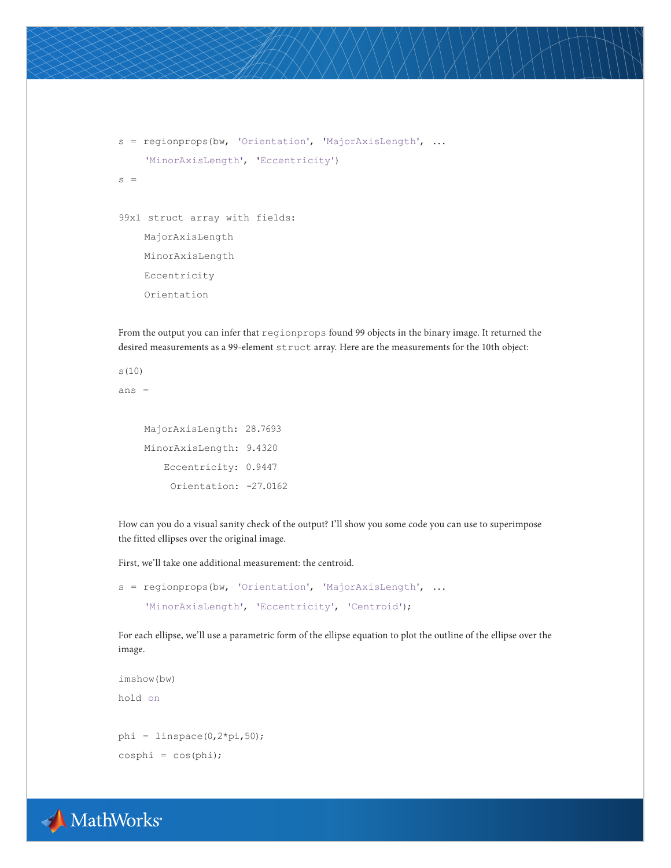```
s = regionprops(bw, 'Orientation', 'MajorAxisLength', ...
      'MinorAxisLength', 'Eccentricity')
s =99x1 struct array with fields:
     MajorAxisLength
     MinorAxisLength
     Eccentricity
     Orientation
```
From the output you can infer that regionprops found 99 objects in the binary image. It returned the desired measurements as a 99-element struct array. Here are the measurements for the 10th object:

s(10)

ans =

 MajorAxisLength: 28.7693 MinorAxisLength: 9.4320 Eccentricity: 0.9447 Orientation: -27.0162

How can you do a visual sanity check of the output? I'll show you some code you can use to superimpose the fitted ellipses over the original image.

First, we'll take one additional measurement: the centroid.

```
s = regionprops(bw, 'Orientation', 'MajorAxisLength', ...
      'MinorAxisLength', 'Eccentricity', 'Centroid');
```
For each ellipse, we'll use a parametric form of the ellipse equation to plot the outline of the ellipse over the image.

```
imshow(bw)
hold on
phi = linspace(0, 2*pi, 50);
cosphi = cos(phi);
```
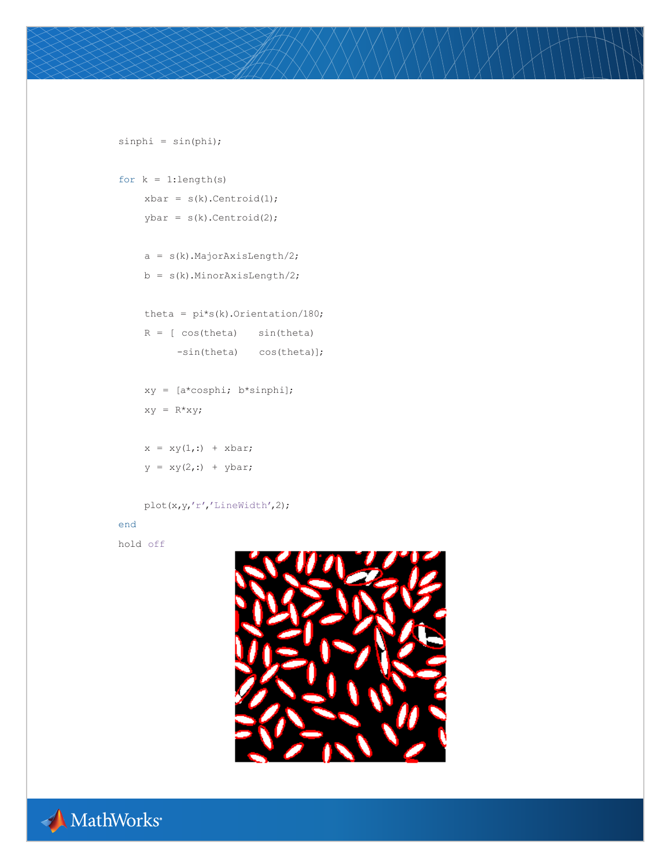```
 b = s(k).MinorAxisLength/2;
    theta = pi*s(k). Orientation/180;
    R = [ \cos(theta) \sin(theta] -sin(theta) cos(theta)];
     xy = [a*cosphi; b*sinphi];
    xy = R*xy;x = xy(1,:) + xbar;y = xy(2, :) + ybar; plot(x,y,'r','LineWidth',2);
end
```
 $simpli = sin(\pi h i);$ 

for  $k = 1$ :length(s)

 $xbar = s(k)$ . Centroid(1);  $ybar = s(k)$ . Centroid(2);

 $a = s(k)$ . Major Axis Length/2;



```
hold off
```


MathWorks®